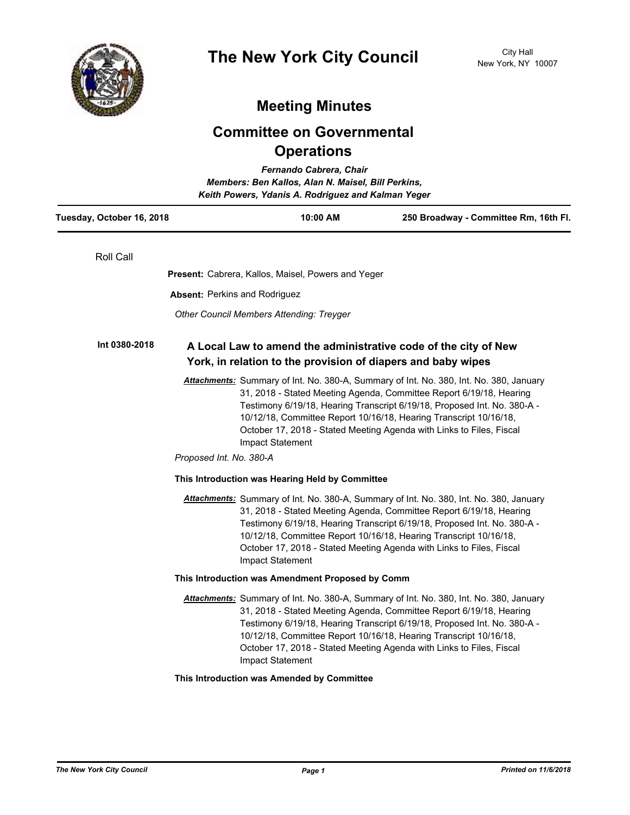

# **Meeting Minutes**

# **Committee on Governmental Operations**

| Fernando Cabrera, Chair<br>Members: Ben Kallos, Alan N. Maisel, Bill Perkins,<br>Keith Powers, Ydanis A. Rodriguez and Kalman Yeger |                                                                                                                                 |                                                                                                                                                                                                                                                                                                                                                                                        |
|-------------------------------------------------------------------------------------------------------------------------------------|---------------------------------------------------------------------------------------------------------------------------------|----------------------------------------------------------------------------------------------------------------------------------------------------------------------------------------------------------------------------------------------------------------------------------------------------------------------------------------------------------------------------------------|
| Tuesday, October 16, 2018                                                                                                           | 10:00 AM                                                                                                                        | 250 Broadway - Committee Rm, 16th Fl.                                                                                                                                                                                                                                                                                                                                                  |
| Roll Call                                                                                                                           |                                                                                                                                 |                                                                                                                                                                                                                                                                                                                                                                                        |
|                                                                                                                                     | Present: Cabrera, Kallos, Maisel, Powers and Yeger                                                                              |                                                                                                                                                                                                                                                                                                                                                                                        |
|                                                                                                                                     | <b>Absent: Perkins and Rodriguez</b>                                                                                            |                                                                                                                                                                                                                                                                                                                                                                                        |
|                                                                                                                                     | <b>Other Council Members Attending: Treyger</b>                                                                                 |                                                                                                                                                                                                                                                                                                                                                                                        |
| Int 0380-2018                                                                                                                       | A Local Law to amend the administrative code of the city of New<br>York, in relation to the provision of diapers and baby wipes |                                                                                                                                                                                                                                                                                                                                                                                        |
|                                                                                                                                     | Impact Statement<br>Proposed Int. No. 380-A                                                                                     | Attachments: Summary of Int. No. 380-A, Summary of Int. No. 380, Int. No. 380, January<br>31, 2018 - Stated Meeting Agenda, Committee Report 6/19/18, Hearing<br>Testimony 6/19/18, Hearing Transcript 6/19/18, Proposed Int. No. 380-A -<br>10/12/18, Committee Report 10/16/18, Hearing Transcript 10/16/18,<br>October 17, 2018 - Stated Meeting Agenda with Links to Files, Fiscal |
|                                                                                                                                     | This Introduction was Hearing Held by Committee                                                                                 |                                                                                                                                                                                                                                                                                                                                                                                        |
|                                                                                                                                     | Impact Statement                                                                                                                | Attachments: Summary of Int. No. 380-A, Summary of Int. No. 380, Int. No. 380, January<br>31, 2018 - Stated Meeting Agenda, Committee Report 6/19/18, Hearing<br>Testimony 6/19/18, Hearing Transcript 6/19/18, Proposed Int. No. 380-A -<br>10/12/18, Committee Report 10/16/18, Hearing Transcript 10/16/18,<br>October 17, 2018 - Stated Meeting Agenda with Links to Files, Fiscal |
|                                                                                                                                     | This Introduction was Amendment Proposed by Comm                                                                                |                                                                                                                                                                                                                                                                                                                                                                                        |
|                                                                                                                                     | Impact Statement                                                                                                                | Attachments: Summary of Int. No. 380-A, Summary of Int. No. 380, Int. No. 380, January<br>31, 2018 - Stated Meeting Agenda, Committee Report 6/19/18, Hearing<br>Testimony 6/19/18, Hearing Transcript 6/19/18, Proposed Int. No. 380-A -<br>10/12/18, Committee Report 10/16/18, Hearing Transcript 10/16/18,<br>October 17, 2018 - Stated Meeting Agenda with Links to Files, Fiscal |
|                                                                                                                                     | This Introduction was Amended by Committee                                                                                      |                                                                                                                                                                                                                                                                                                                                                                                        |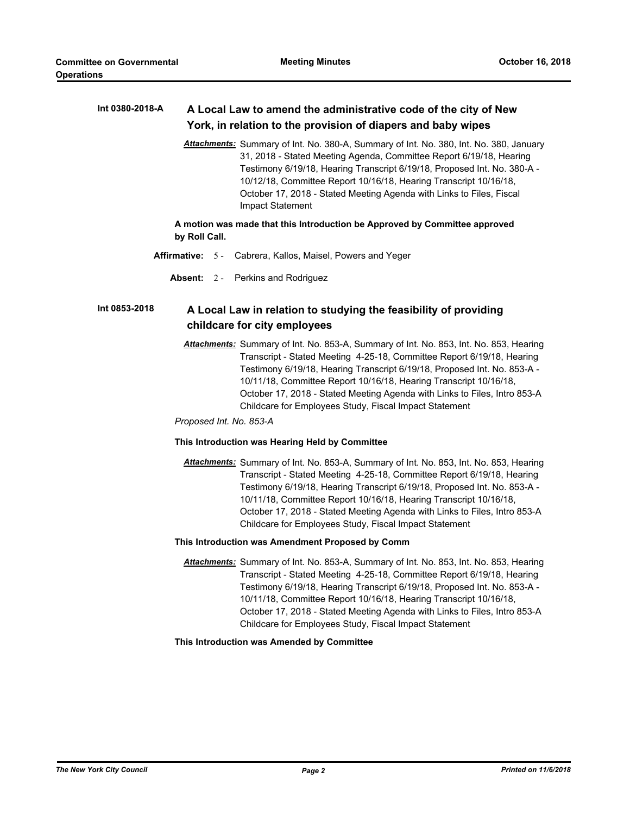#### **A Local Law to amend the administrative code of the city of New York, in relation to the provision of diapers and baby wipes Int 0380-2018-A**

*Attachments:* Summary of Int. No. 380-A, Summary of Int. No. 380, Int. No. 380, January 31, 2018 - Stated Meeting Agenda, Committee Report 6/19/18, Hearing Testimony 6/19/18, Hearing Transcript 6/19/18, Proposed Int. No. 380-A - 10/12/18, Committee Report 10/16/18, Hearing Transcript 10/16/18, October 17, 2018 - Stated Meeting Agenda with Links to Files, Fiscal Impact Statement

## **A motion was made that this Introduction be Approved by Committee approved by Roll Call.**

- **Affirmative:** 5 Cabrera, Kallos, Maisel, Powers and Yeger
	- **Absent:** 2 Perkins and Rodriguez

#### **A Local Law in relation to studying the feasibility of providing childcare for city employees Int 0853-2018**

*Attachments:* Summary of Int. No. 853-A, Summary of Int. No. 853, Int. No. 853, Hearing Transcript - Stated Meeting 4-25-18, Committee Report 6/19/18, Hearing Testimony 6/19/18, Hearing Transcript 6/19/18, Proposed Int. No. 853-A - 10/11/18, Committee Report 10/16/18, Hearing Transcript 10/16/18, October 17, 2018 - Stated Meeting Agenda with Links to Files, Intro 853-A Childcare for Employees Study, Fiscal Impact Statement

*Proposed Int. No. 853-A*

## **This Introduction was Hearing Held by Committee**

*Attachments:* Summary of Int. No. 853-A, Summary of Int. No. 853, Int. No. 853, Hearing Transcript - Stated Meeting 4-25-18, Committee Report 6/19/18, Hearing Testimony 6/19/18, Hearing Transcript 6/19/18, Proposed Int. No. 853-A - 10/11/18, Committee Report 10/16/18, Hearing Transcript 10/16/18, October 17, 2018 - Stated Meeting Agenda with Links to Files, Intro 853-A Childcare for Employees Study, Fiscal Impact Statement

## **This Introduction was Amendment Proposed by Comm**

*Attachments:* Summary of Int. No. 853-A, Summary of Int. No. 853, Int. No. 853, Hearing Transcript - Stated Meeting 4-25-18, Committee Report 6/19/18, Hearing Testimony 6/19/18, Hearing Transcript 6/19/18, Proposed Int. No. 853-A - 10/11/18, Committee Report 10/16/18, Hearing Transcript 10/16/18, October 17, 2018 - Stated Meeting Agenda with Links to Files, Intro 853-A Childcare for Employees Study, Fiscal Impact Statement

## **This Introduction was Amended by Committee**